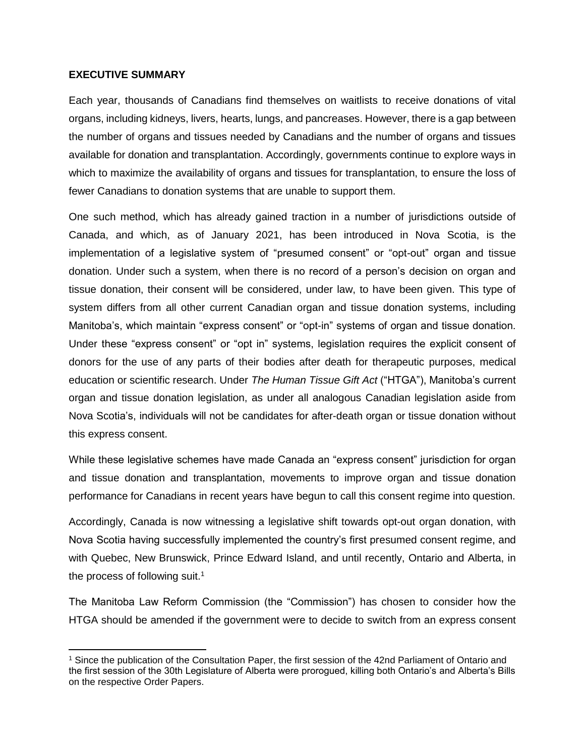## **EXECUTIVE SUMMARY**

 $\overline{a}$ 

Each year, thousands of Canadians find themselves on waitlists to receive donations of vital organs, including kidneys, livers, hearts, lungs, and pancreases. However, there is a gap between the number of organs and tissues needed by Canadians and the number of organs and tissues available for donation and transplantation. Accordingly, governments continue to explore ways in which to maximize the availability of organs and tissues for transplantation, to ensure the loss of fewer Canadians to donation systems that are unable to support them.

One such method, which has already gained traction in a number of jurisdictions outside of Canada, and which, as of January 2021, has been introduced in Nova Scotia, is the implementation of a legislative system of "presumed consent" or "opt-out" organ and tissue donation. Under such a system, when there is no record of a person's decision on organ and tissue donation, their consent will be considered, under law, to have been given. This type of system differs from all other current Canadian organ and tissue donation systems, including Manitoba's, which maintain "express consent" or "opt-in" systems of organ and tissue donation. Under these "express consent" or "opt in" systems, legislation requires the explicit consent of donors for the use of any parts of their bodies after death for therapeutic purposes, medical education or scientific research. Under *The Human Tissue Gift Act* ("HTGA"), Manitoba's current organ and tissue donation legislation, as under all analogous Canadian legislation aside from Nova Scotia's, individuals will not be candidates for after-death organ or tissue donation without this express consent.

While these legislative schemes have made Canada an "express consent" jurisdiction for organ and tissue donation and transplantation, movements to improve organ and tissue donation performance for Canadians in recent years have begun to call this consent regime into question.

Accordingly, Canada is now witnessing a legislative shift towards opt-out organ donation, with Nova Scotia having successfully implemented the country's first presumed consent regime, and with Quebec, New Brunswick, Prince Edward Island, and until recently, Ontario and Alberta, in the process of following suit.<sup>1</sup>

The Manitoba Law Reform Commission (the "Commission") has chosen to consider how the HTGA should be amended if the government were to decide to switch from an express consent

<sup>1</sup> Since the publication of the Consultation Paper, the first session of the 42nd Parliament of Ontario and the first session of the 30th Legislature of Alberta were prorogued, killing both Ontario's and Alberta's Bills on the respective Order Papers.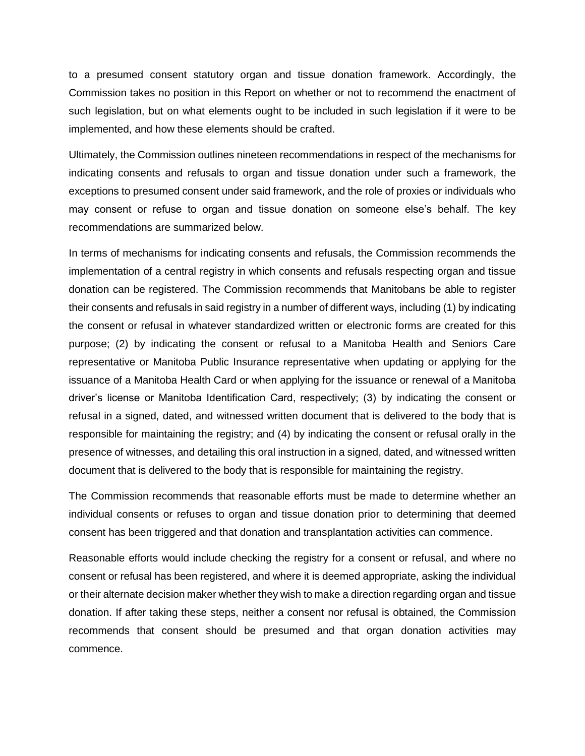to a presumed consent statutory organ and tissue donation framework. Accordingly, the Commission takes no position in this Report on whether or not to recommend the enactment of such legislation, but on what elements ought to be included in such legislation if it were to be implemented, and how these elements should be crafted.

Ultimately, the Commission outlines nineteen recommendations in respect of the mechanisms for indicating consents and refusals to organ and tissue donation under such a framework, the exceptions to presumed consent under said framework, and the role of proxies or individuals who may consent or refuse to organ and tissue donation on someone else's behalf. The key recommendations are summarized below.

In terms of mechanisms for indicating consents and refusals, the Commission recommends the implementation of a central registry in which consents and refusals respecting organ and tissue donation can be registered. The Commission recommends that Manitobans be able to register their consents and refusals in said registry in a number of different ways, including (1) by indicating the consent or refusal in whatever standardized written or electronic forms are created for this purpose; (2) by indicating the consent or refusal to a Manitoba Health and Seniors Care representative or Manitoba Public Insurance representative when updating or applying for the issuance of a Manitoba Health Card or when applying for the issuance or renewal of a Manitoba driver's license or Manitoba Identification Card, respectively; (3) by indicating the consent or refusal in a signed, dated, and witnessed written document that is delivered to the body that is responsible for maintaining the registry; and (4) by indicating the consent or refusal orally in the presence of witnesses, and detailing this oral instruction in a signed, dated, and witnessed written document that is delivered to the body that is responsible for maintaining the registry.

The Commission recommends that reasonable efforts must be made to determine whether an individual consents or refuses to organ and tissue donation prior to determining that deemed consent has been triggered and that donation and transplantation activities can commence.

Reasonable efforts would include checking the registry for a consent or refusal, and where no consent or refusal has been registered, and where it is deemed appropriate, asking the individual or their alternate decision maker whether they wish to make a direction regarding organ and tissue donation. If after taking these steps, neither a consent nor refusal is obtained, the Commission recommends that consent should be presumed and that organ donation activities may commence.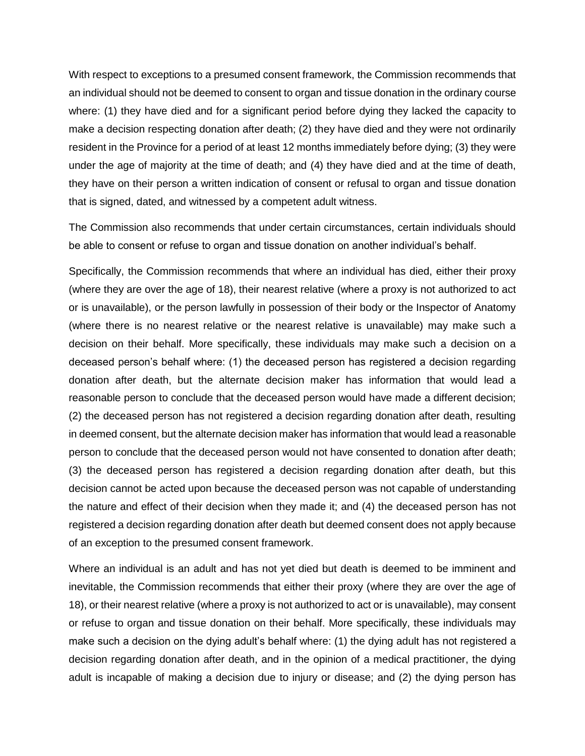With respect to exceptions to a presumed consent framework, the Commission recommends that an individual should not be deemed to consent to organ and tissue donation in the ordinary course where: (1) they have died and for a significant period before dying they lacked the capacity to make a decision respecting donation after death; (2) they have died and they were not ordinarily resident in the Province for a period of at least 12 months immediately before dying; (3) they were under the age of majority at the time of death; and (4) they have died and at the time of death, they have on their person a written indication of consent or refusal to organ and tissue donation that is signed, dated, and witnessed by a competent adult witness.

The Commission also recommends that under certain circumstances, certain individuals should be able to consent or refuse to organ and tissue donation on another individual's behalf.

Specifically, the Commission recommends that where an individual has died, either their proxy (where they are over the age of 18), their nearest relative (where a proxy is not authorized to act or is unavailable), or the person lawfully in possession of their body or the Inspector of Anatomy (where there is no nearest relative or the nearest relative is unavailable) may make such a decision on their behalf. More specifically, these individuals may make such a decision on a deceased person's behalf where: (1) the deceased person has registered a decision regarding donation after death, but the alternate decision maker has information that would lead a reasonable person to conclude that the deceased person would have made a different decision; (2) the deceased person has not registered a decision regarding donation after death, resulting in deemed consent, but the alternate decision maker has information that would lead a reasonable person to conclude that the deceased person would not have consented to donation after death; (3) the deceased person has registered a decision regarding donation after death, but this decision cannot be acted upon because the deceased person was not capable of understanding the nature and effect of their decision when they made it; and (4) the deceased person has not registered a decision regarding donation after death but deemed consent does not apply because of an exception to the presumed consent framework.

Where an individual is an adult and has not yet died but death is deemed to be imminent and inevitable, the Commission recommends that either their proxy (where they are over the age of 18), or their nearest relative (where a proxy is not authorized to act or is unavailable), may consent or refuse to organ and tissue donation on their behalf. More specifically, these individuals may make such a decision on the dying adult's behalf where: (1) the dying adult has not registered a decision regarding donation after death, and in the opinion of a medical practitioner, the dying adult is incapable of making a decision due to injury or disease; and (2) the dying person has